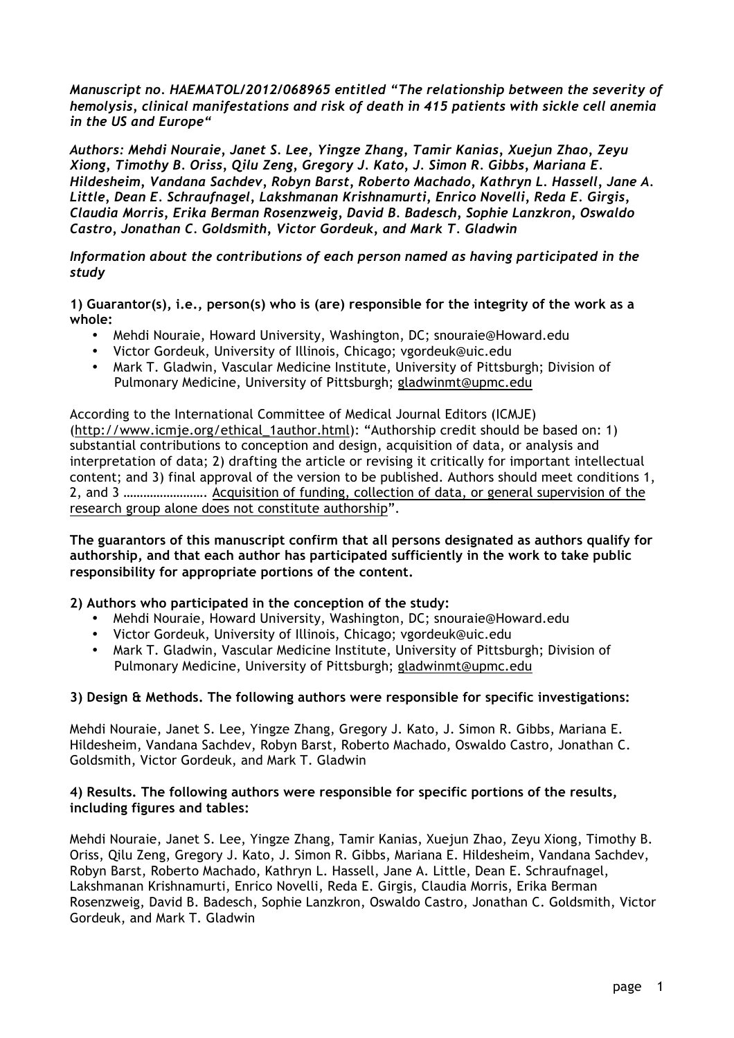*Manuscript no. HAEMATOL/2012/068965 entitled "The relationship between the severity of hemolysis, clinical manifestations and risk of death in 415 patients with sickle cell anemia in the US and Europe"*

*Authors: Mehdi Nouraie, Janet S. Lee, Yingze Zhang, Tamir Kanias, Xuejun Zhao, Zeyu Xiong, Timothy B. Oriss, Qilu Zeng, Gregory J. Kato, J. Simon R. Gibbs, Mariana E. Hildesheim, Vandana Sachdev, Robyn Barst, Roberto Machado, Kathryn L. Hassell, Jane A. Little, Dean E. Schraufnagel, Lakshmanan Krishnamurti, Enrico Novelli, Reda E. Girgis, Claudia Morris, Erika Berman Rosenzweig, David B. Badesch, Sophie Lanzkron, Oswaldo Castro, Jonathan C. Goldsmith, Victor Gordeuk, and Mark T. Gladwin*

*Information about the contributions of each person named as having participated in the study*

**1) Guarantor(s), i.e., person(s) who is (are) responsible for the integrity of the work as a whole:** 

- Mehdi Nouraie, Howard University, Washington, DC; snouraie@Howard.edu
- Victor Gordeuk, University of Illinois, Chicago; vgordeuk@uic.edu
- Mark T. Gladwin, Vascular Medicine Institute, University of Pittsburgh; Division of Pulmonary Medicine, University of Pittsburgh; gladwinmt@upmc.edu

According to the International Committee of Medical Journal Editors (ICMJE) (http://www.icmje.org/ethical\_1author.html): "Authorship credit should be based on: 1) substantial contributions to conception and design, acquisition of data, or analysis and interpretation of data; 2) drafting the article or revising it critically for important intellectual content; and 3) final approval of the version to be published. Authors should meet conditions 1, 2, and 3 ……………………. Acquisition of funding, collection of data, or general supervision of the research group alone does not constitute authorship".

**The guarantors of this manuscript confirm that all persons designated as authors qualify for authorship, and that each author has participated sufficiently in the work to take public responsibility for appropriate portions of the content.**

## **2) Authors who participated in the conception of the study:**

- Mehdi Nouraie, Howard University, Washington, DC; snouraie@Howard.edu
- Victor Gordeuk, University of Illinois, Chicago; vgordeuk@uic.edu
- Mark T. Gladwin, Vascular Medicine Institute, University of Pittsburgh; Division of Pulmonary Medicine, University of Pittsburgh; gladwinmt@upmc.edu

## **3) Design & Methods. The following authors were responsible for specific investigations:**

Mehdi Nouraie, Janet S. Lee, Yingze Zhang, Gregory J. Kato, J. Simon R. Gibbs, Mariana E. Hildesheim, Vandana Sachdev, Robyn Barst, Roberto Machado, Oswaldo Castro, Jonathan C. Goldsmith, Victor Gordeuk, and Mark T. Gladwin

## **4) Results. The following authors were responsible for specific portions of the results, including figures and tables:**

Mehdi Nouraie, Janet S. Lee, Yingze Zhang, Tamir Kanias, Xuejun Zhao, Zeyu Xiong, Timothy B. Oriss, Qilu Zeng, Gregory J. Kato, J. Simon R. Gibbs, Mariana E. Hildesheim, Vandana Sachdev, Robyn Barst, Roberto Machado, Kathryn L. Hassell, Jane A. Little, Dean E. Schraufnagel, Lakshmanan Krishnamurti, Enrico Novelli, Reda E. Girgis, Claudia Morris, Erika Berman Rosenzweig, David B. Badesch, Sophie Lanzkron, Oswaldo Castro, Jonathan C. Goldsmith, Victor Gordeuk, and Mark T. Gladwin